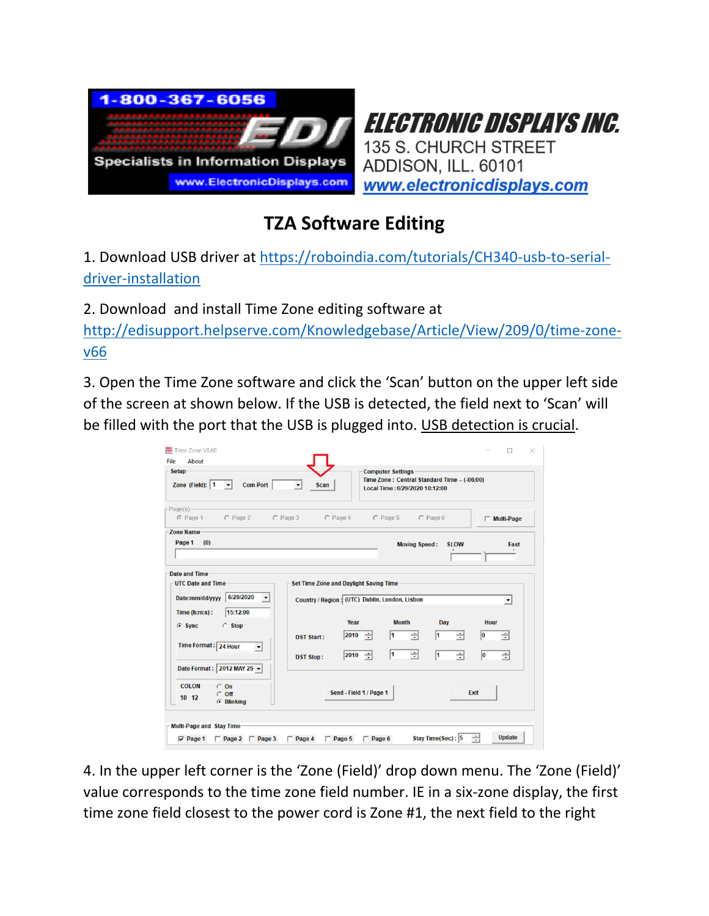



## **TZA Software Editing**

1. Download USB driver at https://roboindia.com/tutorials/CH340‐usb‐to‐serial‐ driver‐installation

2. Download and install Time Zone editing software at

http://edisupport.helpserve.com/Knowledgebase/Article/View/209/0/time-zonev66

3. Open the Time Zone software and click the 'Scan' button on the upper left side of the screen at shown below. If the USB is detected, the field next to 'Scan' will be filled with the port that the USB is plugged into. USB detection is crucial.

| <b>Setup</b><br><b>Computer Settings</b><br>Time Zone: Central Standard Time - (-06:00)<br>$\blacktriangledown$<br>Zone (Field): 1<br><b>Com Port</b><br><b>Scan</b><br>$\mathbf{v}$<br>Local Time: 6/29/2020 10:12:00 |                                       |                                                                                                      |                                        |                               |                                            |  |  |  |  |
|------------------------------------------------------------------------------------------------------------------------------------------------------------------------------------------------------------------------|---------------------------------------|------------------------------------------------------------------------------------------------------|----------------------------------------|-------------------------------|--------------------------------------------|--|--|--|--|
| $Page(s)$ –<br>C Page 2<br>$C$ Page 1                                                                                                                                                                                  | $C$ Page 3                            | $C$ Page 4                                                                                           | $C$ Page 5                             | $C$ Page 6                    | $\Box$ Multi-Page                          |  |  |  |  |
| <b>Zone Name</b><br>Page 1 (0)                                                                                                                                                                                         |                                       |                                                                                                      | <b>Moving Speed:</b>                   | <b>SLOW</b>                   | Fast                                       |  |  |  |  |
|                                                                                                                                                                                                                        |                                       | <b>Set Time Zone and Daylight Saving Time</b>                                                        |                                        |                               |                                            |  |  |  |  |
| 6/29/2020<br>Date:mm/dd/yyyy<br>$\blacktriangledown$<br>15:12:00<br>Time(h:m:s):<br>C Stop<br>$G$ Sync<br>Time Format: 24 Hour<br>$\blacktriangledown$                                                                 | <b>DST Start:</b><br><b>DST Stop:</b> | Country / Region: (UTC) Dublin, London, Lisbon<br>Year<br>$ 2010 - \div $<br>$ 2010 - \frac{1}{12} $ | <b>Month</b><br>$\div$<br>1<br>싂<br>11 | Day<br>1<br>$\div$<br>싂<br>l1 | <b>Hour</b><br>÷<br>$ 0\rangle$<br>÷<br>lo |  |  |  |  |

4. In the upper left corner is the 'Zone (Field)' drop down menu. The 'Zone (Field)' value corresponds to the time zone field number. IE in a six‐zone display, the first time zone field closest to the power cord is Zone #1, the next field to the right